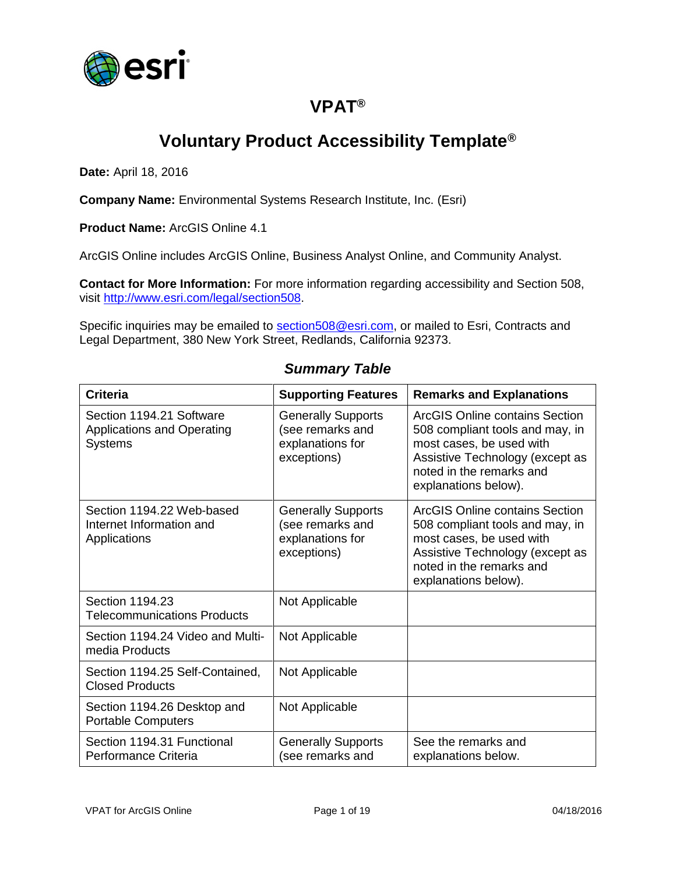

## **VPAT®**

## **Voluntary Product Accessibility Template®**

**Date:** April 18, 2016

**Company Name:** Environmental Systems Research Institute, Inc. (Esri)

**Product Name:** ArcGIS Online 4.1

ArcGIS Online includes ArcGIS Online, Business Analyst Online, and Community Analyst.

**Contact for More Information:** For more information regarding accessibility and Section 508, visit [http://www.esri.com/legal/section508.](http://www.esri.com/legal/section508)

Specific inquiries may be emailed to [section508@esri.com,](mailto:section508@esri.com) or mailed to Esri, Contracts and Legal Department, 380 New York Street, Redlands, California 92373.

| <b>Criteria</b>                                                                 | <b>Supporting Features</b>                                                       | <b>Remarks and Explanations</b>                                                                                                                                                      |
|---------------------------------------------------------------------------------|----------------------------------------------------------------------------------|--------------------------------------------------------------------------------------------------------------------------------------------------------------------------------------|
| Section 1194.21 Software<br><b>Applications and Operating</b><br><b>Systems</b> | <b>Generally Supports</b><br>(see remarks and<br>explanations for<br>exceptions) | ArcGIS Online contains Section<br>508 compliant tools and may, in<br>most cases, be used with<br>Assistive Technology (except as<br>noted in the remarks and<br>explanations below). |
| Section 1194.22 Web-based<br>Internet Information and<br>Applications           | <b>Generally Supports</b><br>(see remarks and<br>explanations for<br>exceptions) | ArcGIS Online contains Section<br>508 compliant tools and may, in<br>most cases, be used with<br>Assistive Technology (except as<br>noted in the remarks and<br>explanations below). |
| Section 1194.23<br><b>Telecommunications Products</b>                           | Not Applicable                                                                   |                                                                                                                                                                                      |
| Section 1194.24 Video and Multi-<br>media Products                              | Not Applicable                                                                   |                                                                                                                                                                                      |
| Section 1194.25 Self-Contained,<br><b>Closed Products</b>                       | Not Applicable                                                                   |                                                                                                                                                                                      |
| Section 1194.26 Desktop and<br><b>Portable Computers</b>                        | Not Applicable                                                                   |                                                                                                                                                                                      |
| Section 1194.31 Functional<br>Performance Criteria                              | <b>Generally Supports</b><br>(see remarks and                                    | See the remarks and<br>explanations below.                                                                                                                                           |

#### *Summary Table*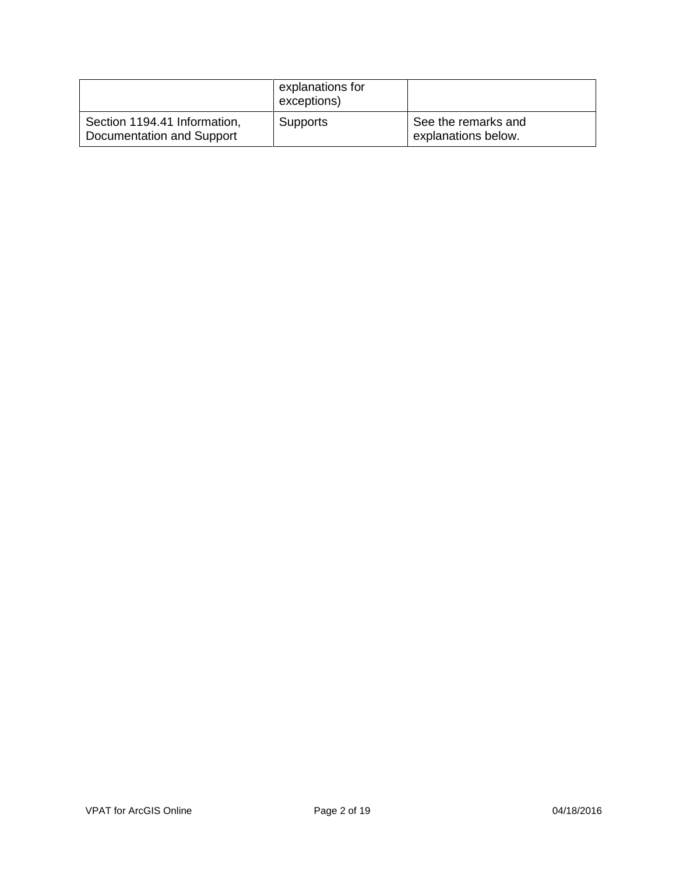|                                                           | explanations for<br>exceptions) |                                            |
|-----------------------------------------------------------|---------------------------------|--------------------------------------------|
| Section 1194.41 Information,<br>Documentation and Support | <b>Supports</b>                 | See the remarks and<br>explanations below. |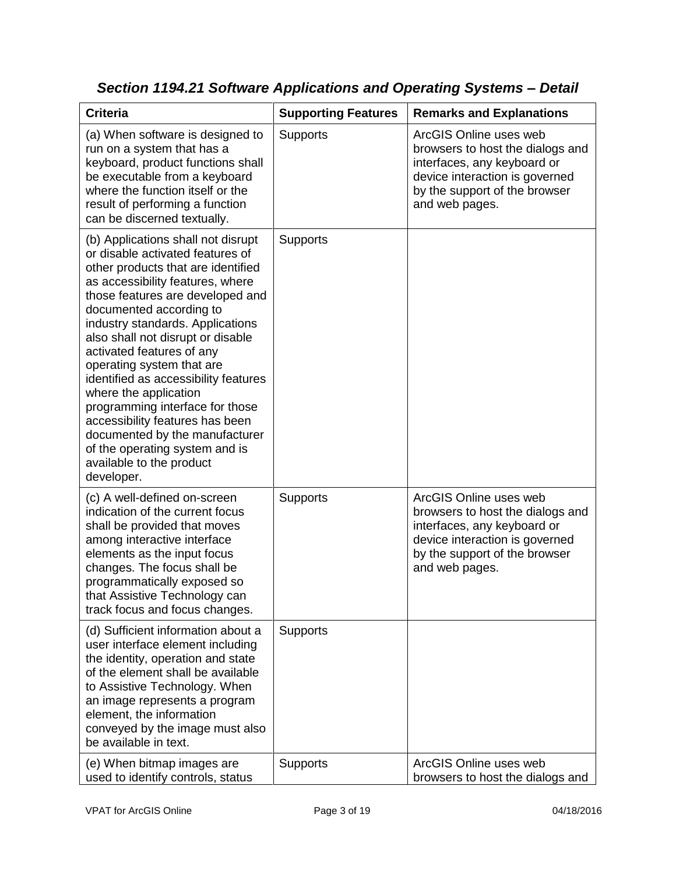| <b>Criteria</b>                                                                                                                                                                                                                                                                                                                                                                                                                                                                                                                                                                                         | <b>Supporting Features</b> | <b>Remarks and Explanations</b>                                                                                                                                                |
|---------------------------------------------------------------------------------------------------------------------------------------------------------------------------------------------------------------------------------------------------------------------------------------------------------------------------------------------------------------------------------------------------------------------------------------------------------------------------------------------------------------------------------------------------------------------------------------------------------|----------------------------|--------------------------------------------------------------------------------------------------------------------------------------------------------------------------------|
| (a) When software is designed to<br>run on a system that has a<br>keyboard, product functions shall<br>be executable from a keyboard<br>where the function itself or the<br>result of performing a function<br>can be discerned textually.                                                                                                                                                                                                                                                                                                                                                              | Supports                   | ArcGIS Online uses web<br>browsers to host the dialogs and<br>interfaces, any keyboard or<br>device interaction is governed<br>by the support of the browser<br>and web pages. |
| (b) Applications shall not disrupt<br>or disable activated features of<br>other products that are identified<br>as accessibility features, where<br>those features are developed and<br>documented according to<br>industry standards. Applications<br>also shall not disrupt or disable<br>activated features of any<br>operating system that are<br>identified as accessibility features<br>where the application<br>programming interface for those<br>accessibility features has been<br>documented by the manufacturer<br>of the operating system and is<br>available to the product<br>developer. | Supports                   |                                                                                                                                                                                |
| (c) A well-defined on-screen<br>indication of the current focus<br>shall be provided that moves<br>among interactive interface<br>elements as the input focus<br>changes. The focus shall be<br>programmatically exposed so<br>that Assistive Technology can<br>track focus and focus changes.                                                                                                                                                                                                                                                                                                          | Supports                   | ArcGIS Online uses web<br>browsers to host the dialogs and<br>interfaces, any keyboard or<br>device interaction is governed<br>by the support of the browser<br>and web pages. |
| (d) Sufficient information about a<br>user interface element including<br>the identity, operation and state<br>of the element shall be available<br>to Assistive Technology. When<br>an image represents a program<br>element, the information<br>conveyed by the image must also<br>be available in text.                                                                                                                                                                                                                                                                                              | <b>Supports</b>            |                                                                                                                                                                                |
| (e) When bitmap images are<br>used to identify controls, status                                                                                                                                                                                                                                                                                                                                                                                                                                                                                                                                         | Supports                   | ArcGIS Online uses web<br>browsers to host the dialogs and                                                                                                                     |

*Section 1194.21 Software Applications and Operating Systems – Detail*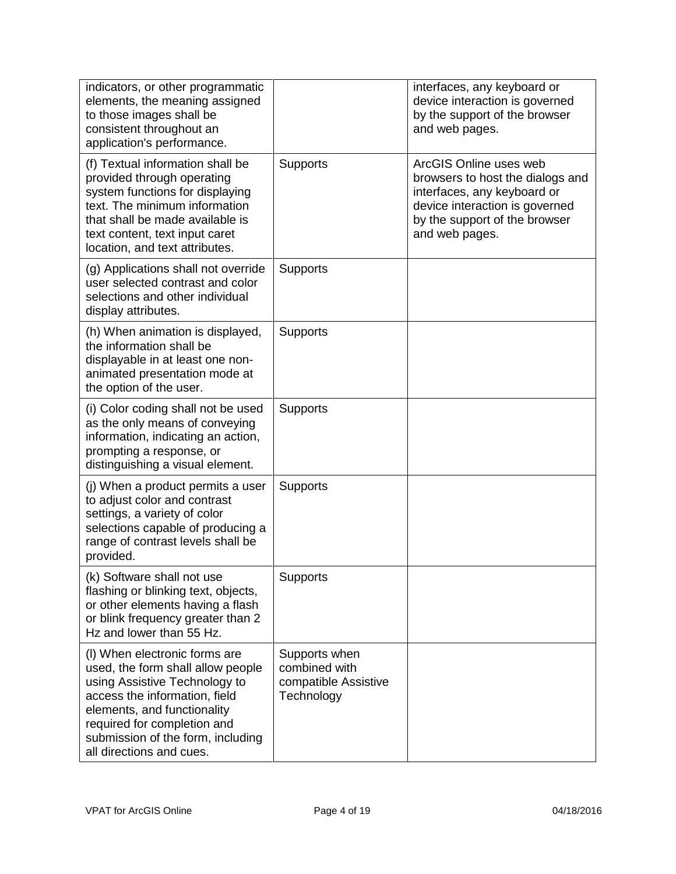| indicators, or other programmatic<br>elements, the meaning assigned<br>to those images shall be<br>consistent throughout an<br>application's performance.                                                                                                           |                                                                      | interfaces, any keyboard or<br>device interaction is governed<br>by the support of the browser<br>and web pages.                                                               |
|---------------------------------------------------------------------------------------------------------------------------------------------------------------------------------------------------------------------------------------------------------------------|----------------------------------------------------------------------|--------------------------------------------------------------------------------------------------------------------------------------------------------------------------------|
| (f) Textual information shall be<br>provided through operating<br>system functions for displaying<br>text. The minimum information<br>that shall be made available is<br>text content, text input caret<br>location, and text attributes.                           | <b>Supports</b>                                                      | ArcGIS Online uses web<br>browsers to host the dialogs and<br>interfaces, any keyboard or<br>device interaction is governed<br>by the support of the browser<br>and web pages. |
| (g) Applications shall not override<br>user selected contrast and color<br>selections and other individual<br>display attributes.                                                                                                                                   | <b>Supports</b>                                                      |                                                                                                                                                                                |
| (h) When animation is displayed,<br>the information shall be<br>displayable in at least one non-<br>animated presentation mode at<br>the option of the user.                                                                                                        | <b>Supports</b>                                                      |                                                                                                                                                                                |
| (i) Color coding shall not be used<br>as the only means of conveying<br>information, indicating an action,<br>prompting a response, or<br>distinguishing a visual element.                                                                                          | <b>Supports</b>                                                      |                                                                                                                                                                                |
| (j) When a product permits a user<br>to adjust color and contrast<br>settings, a variety of color<br>selections capable of producing a<br>range of contrast levels shall be<br>provided.                                                                            | <b>Supports</b>                                                      |                                                                                                                                                                                |
| (k) Software shall not use<br>flashing or blinking text, objects,<br>or other elements having a flash<br>or blink frequency greater than 2<br>Hz and lower than 55 Hz.                                                                                              | Supports                                                             |                                                                                                                                                                                |
| (I) When electronic forms are<br>used, the form shall allow people<br>using Assistive Technology to<br>access the information, field<br>elements, and functionality<br>required for completion and<br>submission of the form, including<br>all directions and cues. | Supports when<br>combined with<br>compatible Assistive<br>Technology |                                                                                                                                                                                |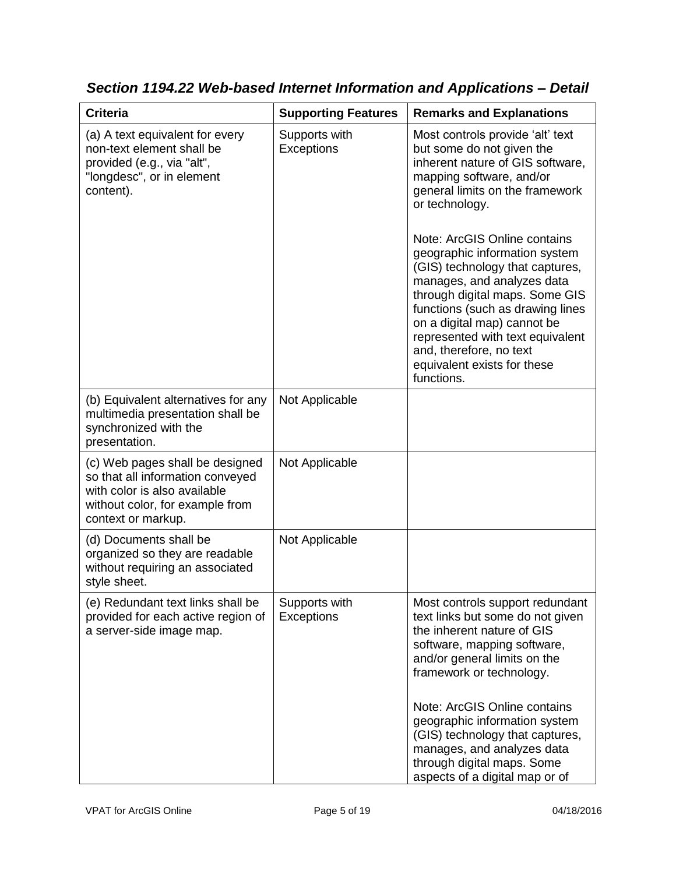| <b>Criteria</b>                                                                                                                                              | <b>Supporting Features</b>         | <b>Remarks and Explanations</b>                                                                                                                                                                                                                                                                                                                                                                                                                                                                                                       |
|--------------------------------------------------------------------------------------------------------------------------------------------------------------|------------------------------------|---------------------------------------------------------------------------------------------------------------------------------------------------------------------------------------------------------------------------------------------------------------------------------------------------------------------------------------------------------------------------------------------------------------------------------------------------------------------------------------------------------------------------------------|
| (a) A text equivalent for every<br>non-text element shall be<br>provided (e.g., via "alt",<br>"longdesc", or in element<br>content).                         | Supports with<br><b>Exceptions</b> | Most controls provide 'alt' text<br>but some do not given the<br>inherent nature of GIS software,<br>mapping software, and/or<br>general limits on the framework<br>or technology.<br>Note: ArcGIS Online contains<br>geographic information system<br>(GIS) technology that captures,<br>manages, and analyzes data<br>through digital maps. Some GIS<br>functions (such as drawing lines<br>on a digital map) cannot be<br>represented with text equivalent<br>and, therefore, no text<br>equivalent exists for these<br>functions. |
| (b) Equivalent alternatives for any<br>multimedia presentation shall be<br>synchronized with the<br>presentation.                                            | Not Applicable                     |                                                                                                                                                                                                                                                                                                                                                                                                                                                                                                                                       |
| (c) Web pages shall be designed<br>so that all information conveyed<br>with color is also available<br>without color, for example from<br>context or markup. | Not Applicable                     |                                                                                                                                                                                                                                                                                                                                                                                                                                                                                                                                       |
| (d) Documents shall be<br>organized so they are readable<br>without requiring an associated<br>style sheet.                                                  | Not Applicable                     |                                                                                                                                                                                                                                                                                                                                                                                                                                                                                                                                       |
| (e) Redundant text links shall be<br>provided for each active region of<br>a server-side image map.                                                          | Supports with<br>Exceptions        | Most controls support redundant<br>text links but some do not given<br>the inherent nature of GIS<br>software, mapping software,<br>and/or general limits on the<br>framework or technology.                                                                                                                                                                                                                                                                                                                                          |
|                                                                                                                                                              |                                    | Note: ArcGIS Online contains<br>geographic information system<br>(GIS) technology that captures,<br>manages, and analyzes data<br>through digital maps. Some<br>aspects of a digital map or of                                                                                                                                                                                                                                                                                                                                        |

*Section 1194.22 Web-based Internet Information and Applications – Detail*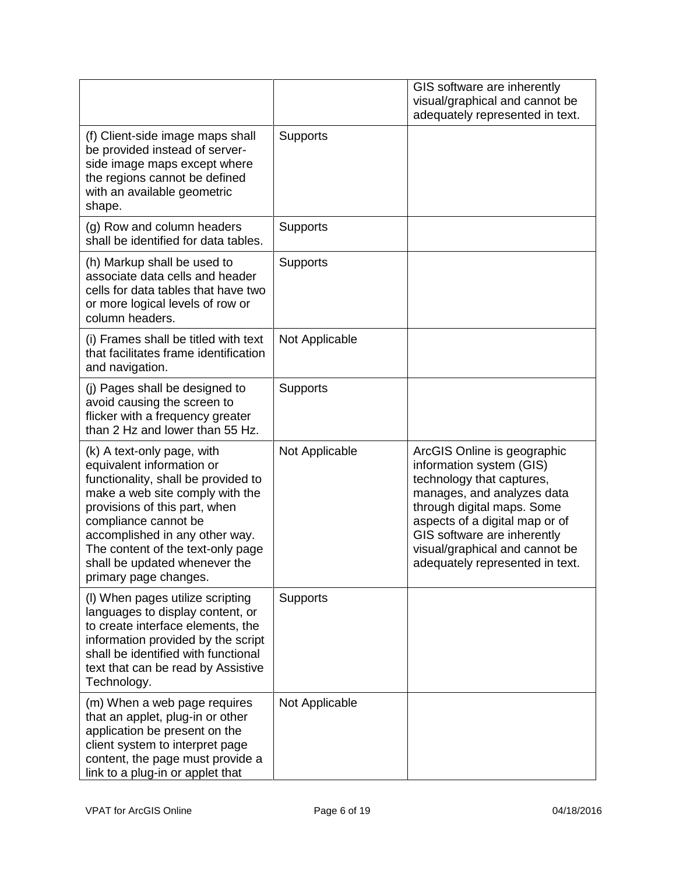|                                                                                                                                                                                                                                                                                                                             |                 | GIS software are inherently<br>visual/graphical and cannot be<br>adequately represented in text.                                                                                                                                                                                       |
|-----------------------------------------------------------------------------------------------------------------------------------------------------------------------------------------------------------------------------------------------------------------------------------------------------------------------------|-----------------|----------------------------------------------------------------------------------------------------------------------------------------------------------------------------------------------------------------------------------------------------------------------------------------|
| (f) Client-side image maps shall<br>be provided instead of server-<br>side image maps except where<br>the regions cannot be defined<br>with an available geometric<br>shape.                                                                                                                                                | <b>Supports</b> |                                                                                                                                                                                                                                                                                        |
| (g) Row and column headers<br>shall be identified for data tables.                                                                                                                                                                                                                                                          | Supports        |                                                                                                                                                                                                                                                                                        |
| (h) Markup shall be used to<br>associate data cells and header<br>cells for data tables that have two<br>or more logical levels of row or<br>column headers.                                                                                                                                                                | <b>Supports</b> |                                                                                                                                                                                                                                                                                        |
| (i) Frames shall be titled with text<br>that facilitates frame identification<br>and navigation.                                                                                                                                                                                                                            | Not Applicable  |                                                                                                                                                                                                                                                                                        |
| (j) Pages shall be designed to<br>avoid causing the screen to<br>flicker with a frequency greater<br>than 2 Hz and lower than 55 Hz.                                                                                                                                                                                        | <b>Supports</b> |                                                                                                                                                                                                                                                                                        |
| (k) A text-only page, with<br>equivalent information or<br>functionality, shall be provided to<br>make a web site comply with the<br>provisions of this part, when<br>compliance cannot be<br>accomplished in any other way.<br>The content of the text-only page<br>shall be updated whenever the<br>primary page changes. | Not Applicable  | ArcGIS Online is geographic<br>information system (GIS)<br>technology that captures,<br>manages, and analyzes data<br>through digital maps. Some<br>aspects of a digital map or of<br>GIS software are inherently<br>visual/graphical and cannot be<br>adequately represented in text. |
| (I) When pages utilize scripting<br>languages to display content, or<br>to create interface elements, the<br>information provided by the script<br>shall be identified with functional<br>text that can be read by Assistive<br>Technology.                                                                                 | <b>Supports</b> |                                                                                                                                                                                                                                                                                        |
| (m) When a web page requires<br>that an applet, plug-in or other<br>application be present on the<br>client system to interpret page<br>content, the page must provide a<br>link to a plug-in or applet that                                                                                                                | Not Applicable  |                                                                                                                                                                                                                                                                                        |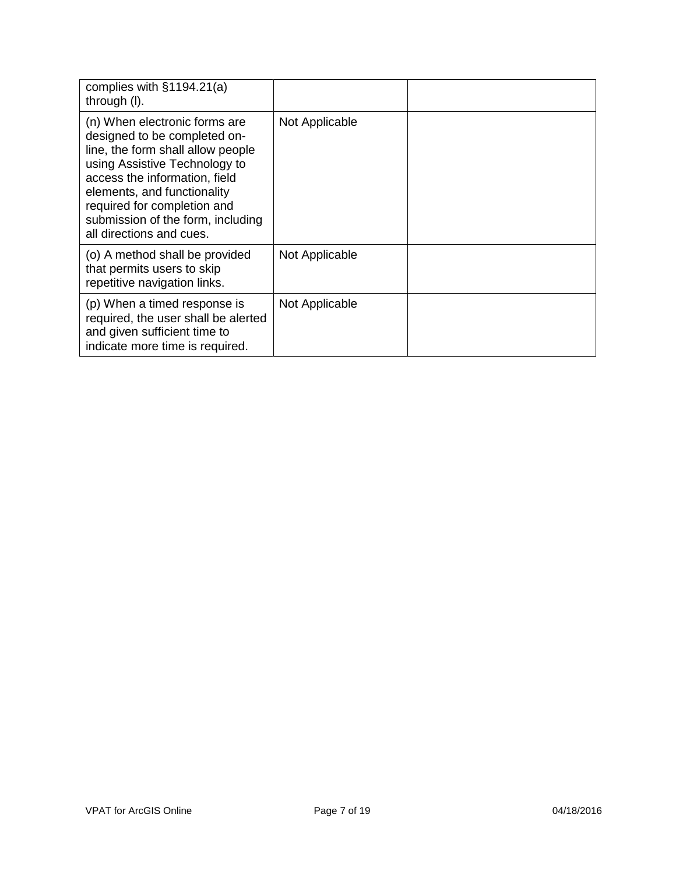| complies with §1194.21(a)<br>through (I).                                                                                                                                                                                                                                                           |                |  |
|-----------------------------------------------------------------------------------------------------------------------------------------------------------------------------------------------------------------------------------------------------------------------------------------------------|----------------|--|
| (n) When electronic forms are<br>designed to be completed on-<br>line, the form shall allow people<br>using Assistive Technology to<br>access the information, field<br>elements, and functionality<br>required for completion and<br>submission of the form, including<br>all directions and cues. | Not Applicable |  |
| (o) A method shall be provided<br>that permits users to skip<br>repetitive navigation links.                                                                                                                                                                                                        | Not Applicable |  |
| (p) When a timed response is<br>required, the user shall be alerted<br>and given sufficient time to<br>indicate more time is required.                                                                                                                                                              | Not Applicable |  |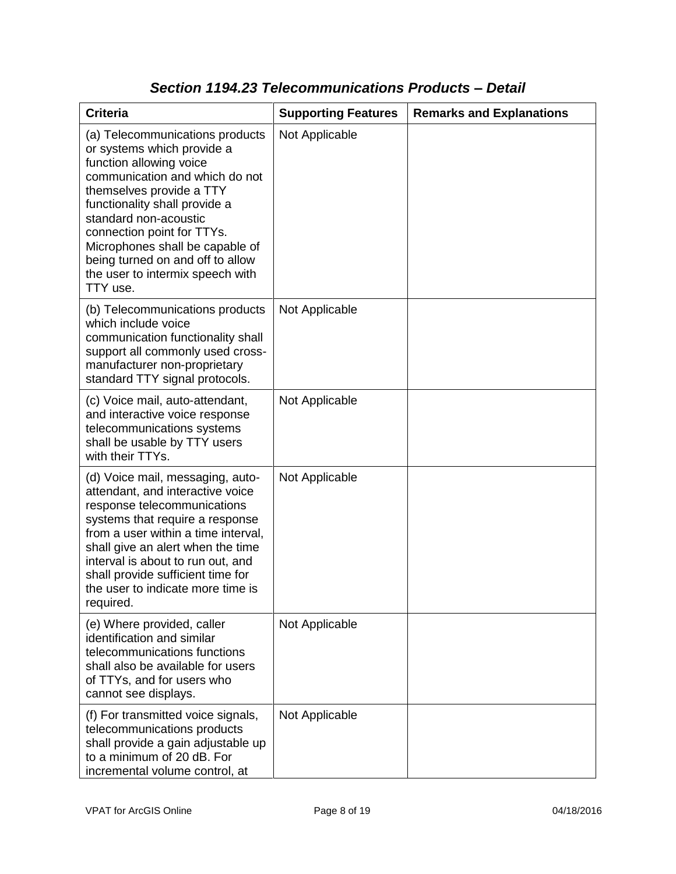| <b>Criteria</b>                                                                                                                                                                                                                                                                                                                                                       | <b>Supporting Features</b> | <b>Remarks and Explanations</b> |
|-----------------------------------------------------------------------------------------------------------------------------------------------------------------------------------------------------------------------------------------------------------------------------------------------------------------------------------------------------------------------|----------------------------|---------------------------------|
| (a) Telecommunications products<br>or systems which provide a<br>function allowing voice<br>communication and which do not<br>themselves provide a TTY<br>functionality shall provide a<br>standard non-acoustic<br>connection point for TTYs.<br>Microphones shall be capable of<br>being turned on and off to allow<br>the user to intermix speech with<br>TTY use. | Not Applicable             |                                 |
| (b) Telecommunications products<br>which include voice<br>communication functionality shall<br>support all commonly used cross-<br>manufacturer non-proprietary<br>standard TTY signal protocols.                                                                                                                                                                     | Not Applicable             |                                 |
| (c) Voice mail, auto-attendant,<br>and interactive voice response<br>telecommunications systems<br>shall be usable by TTY users<br>with their TTYs.                                                                                                                                                                                                                   | Not Applicable             |                                 |
| (d) Voice mail, messaging, auto-<br>attendant, and interactive voice<br>response telecommunications<br>systems that require a response<br>from a user within a time interval,<br>shall give an alert when the time<br>interval is about to run out, and<br>shall provide sufficient time for<br>the user to indicate more time is<br>required.                        | Not Applicable             |                                 |
| (e) Where provided, caller<br>identification and similar<br>telecommunications functions<br>shall also be available for users<br>of TTYs, and for users who<br>cannot see displays.                                                                                                                                                                                   | Not Applicable             |                                 |
| (f) For transmitted voice signals,<br>telecommunications products<br>shall provide a gain adjustable up<br>to a minimum of 20 dB. For<br>incremental volume control, at                                                                                                                                                                                               | Not Applicable             |                                 |

### *Section 1194.23 Telecommunications Products – Detail*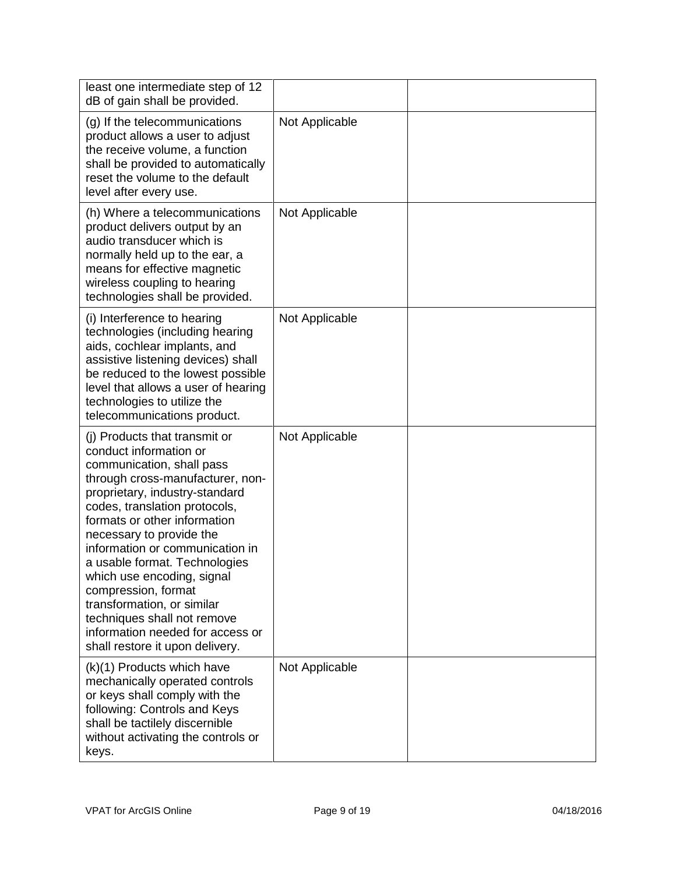| least one intermediate step of 12<br>dB of gain shall be provided.                                                                                                                                                                                                                                                                                                                                                                                                                                                   |                |  |
|----------------------------------------------------------------------------------------------------------------------------------------------------------------------------------------------------------------------------------------------------------------------------------------------------------------------------------------------------------------------------------------------------------------------------------------------------------------------------------------------------------------------|----------------|--|
| (g) If the telecommunications<br>product allows a user to adjust<br>the receive volume, a function<br>shall be provided to automatically<br>reset the volume to the default<br>level after every use.                                                                                                                                                                                                                                                                                                                | Not Applicable |  |
| (h) Where a telecommunications<br>product delivers output by an<br>audio transducer which is<br>normally held up to the ear, a<br>means for effective magnetic<br>wireless coupling to hearing<br>technologies shall be provided.                                                                                                                                                                                                                                                                                    | Not Applicable |  |
| (i) Interference to hearing<br>technologies (including hearing<br>aids, cochlear implants, and<br>assistive listening devices) shall<br>be reduced to the lowest possible<br>level that allows a user of hearing<br>technologies to utilize the<br>telecommunications product.                                                                                                                                                                                                                                       | Not Applicable |  |
| (i) Products that transmit or<br>conduct information or<br>communication, shall pass<br>through cross-manufacturer, non-<br>proprietary, industry-standard<br>codes, translation protocols,<br>formats or other information<br>necessary to provide the<br>information or communication in<br>a usable format. Technologies<br>which use encoding, signal<br>compression, format<br>transformation, or similar<br>techniques shall not remove<br>information needed for access or<br>shall restore it upon delivery. | Not Applicable |  |
| (k)(1) Products which have<br>mechanically operated controls<br>or keys shall comply with the<br>following: Controls and Keys<br>shall be tactilely discernible<br>without activating the controls or<br>keys.                                                                                                                                                                                                                                                                                                       | Not Applicable |  |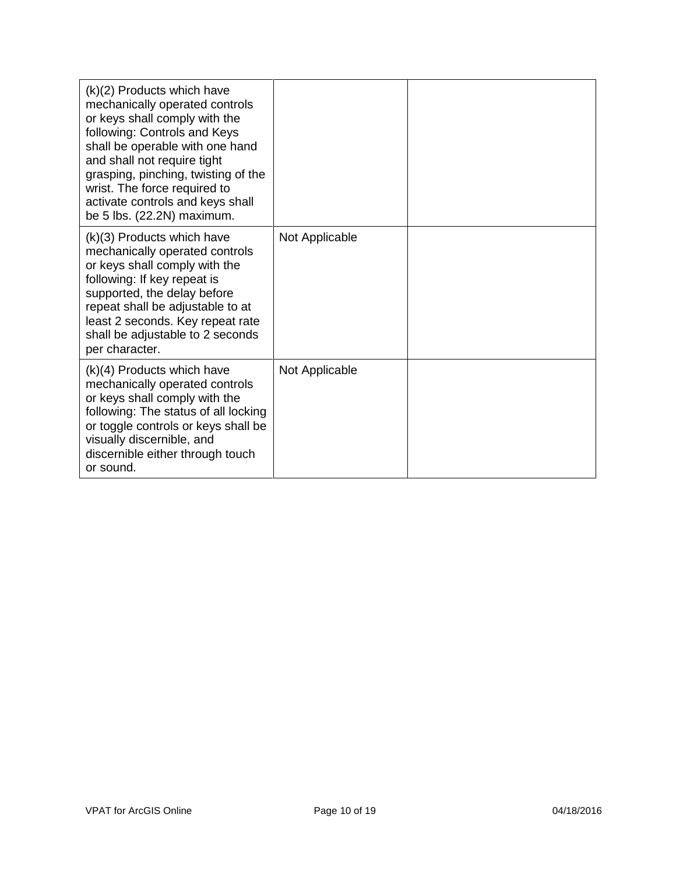| (k)(2) Products which have<br>mechanically operated controls<br>or keys shall comply with the<br>following: Controls and Keys<br>shall be operable with one hand<br>and shall not require tight<br>grasping, pinching, twisting of the<br>wrist. The force required to<br>activate controls and keys shall<br>be 5 lbs. (22.2N) maximum. |                |  |
|------------------------------------------------------------------------------------------------------------------------------------------------------------------------------------------------------------------------------------------------------------------------------------------------------------------------------------------|----------------|--|
| (k)(3) Products which have<br>mechanically operated controls<br>or keys shall comply with the<br>following: If key repeat is<br>supported, the delay before<br>repeat shall be adjustable to at<br>least 2 seconds. Key repeat rate<br>shall be adjustable to 2 seconds<br>per character.                                                | Not Applicable |  |
| $(k)(4)$ Products which have<br>mechanically operated controls<br>or keys shall comply with the<br>following: The status of all locking<br>or toggle controls or keys shall be<br>visually discernible, and<br>discernible either through touch<br>or sound.                                                                             | Not Applicable |  |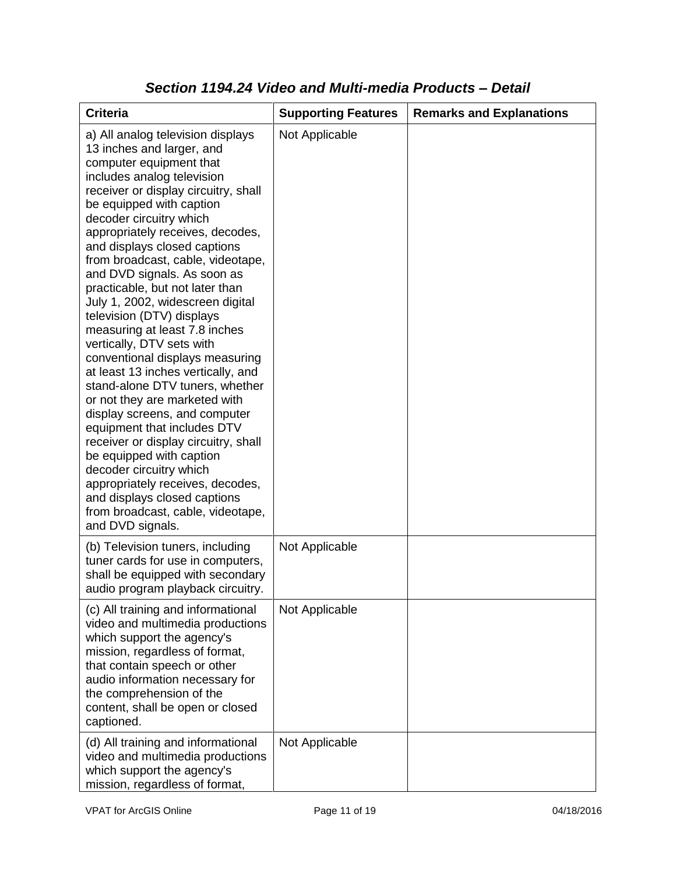| <b>Criteria</b>                                                                                                                                                                                                                                                                                                                                                                                                                                                                                                                                                                                                                                                                                                                                                                                                                                                                                                                                                           | <b>Supporting Features</b> | <b>Remarks and Explanations</b> |
|---------------------------------------------------------------------------------------------------------------------------------------------------------------------------------------------------------------------------------------------------------------------------------------------------------------------------------------------------------------------------------------------------------------------------------------------------------------------------------------------------------------------------------------------------------------------------------------------------------------------------------------------------------------------------------------------------------------------------------------------------------------------------------------------------------------------------------------------------------------------------------------------------------------------------------------------------------------------------|----------------------------|---------------------------------|
| a) All analog television displays<br>13 inches and larger, and<br>computer equipment that<br>includes analog television<br>receiver or display circuitry, shall<br>be equipped with caption<br>decoder circuitry which<br>appropriately receives, decodes,<br>and displays closed captions<br>from broadcast, cable, videotape,<br>and DVD signals. As soon as<br>practicable, but not later than<br>July 1, 2002, widescreen digital<br>television (DTV) displays<br>measuring at least 7.8 inches<br>vertically, DTV sets with<br>conventional displays measuring<br>at least 13 inches vertically, and<br>stand-alone DTV tuners, whether<br>or not they are marketed with<br>display screens, and computer<br>equipment that includes DTV<br>receiver or display circuitry, shall<br>be equipped with caption<br>decoder circuitry which<br>appropriately receives, decodes,<br>and displays closed captions<br>from broadcast, cable, videotape,<br>and DVD signals. | Not Applicable             |                                 |
| (b) Television tuners, including<br>tuner cards for use in computers,<br>shall be equipped with secondary<br>audio program playback circuitry.                                                                                                                                                                                                                                                                                                                                                                                                                                                                                                                                                                                                                                                                                                                                                                                                                            | Not Applicable             |                                 |
| (c) All training and informational<br>video and multimedia productions<br>which support the agency's<br>mission, regardless of format,<br>that contain speech or other<br>audio information necessary for<br>the comprehension of the<br>content, shall be open or closed<br>captioned.                                                                                                                                                                                                                                                                                                                                                                                                                                                                                                                                                                                                                                                                                   | Not Applicable             |                                 |
| (d) All training and informational<br>video and multimedia productions<br>which support the agency's<br>mission, regardless of format,                                                                                                                                                                                                                                                                                                                                                                                                                                                                                                                                                                                                                                                                                                                                                                                                                                    | Not Applicable             |                                 |

#### *Section 1194.24 Video and Multi-media Products – Detail*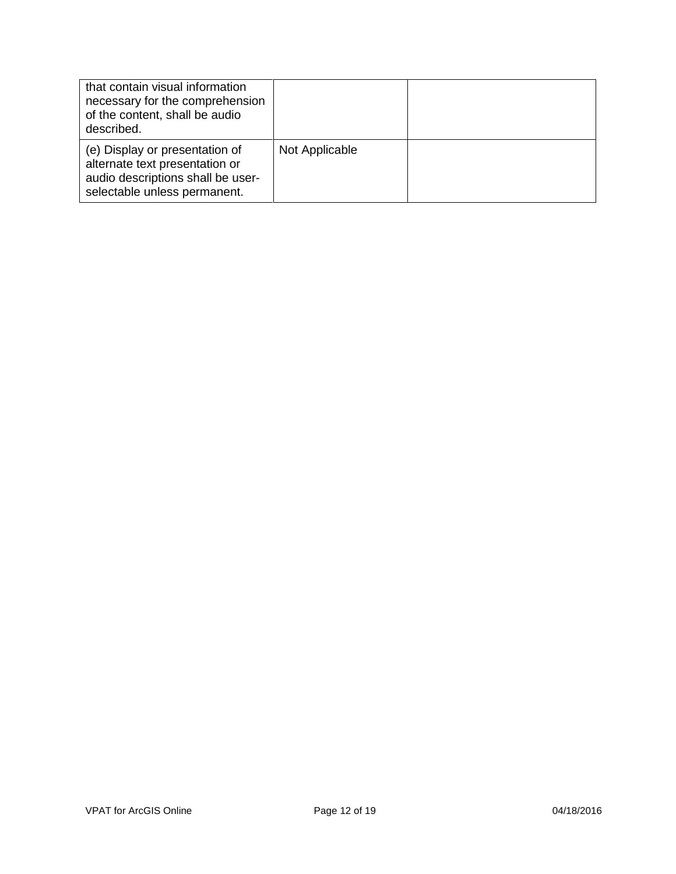| that contain visual information<br>necessary for the comprehension<br>of the content, shall be audio<br>described.                    |                |  |
|---------------------------------------------------------------------------------------------------------------------------------------|----------------|--|
| (e) Display or presentation of<br>alternate text presentation or<br>audio descriptions shall be user-<br>selectable unless permanent. | Not Applicable |  |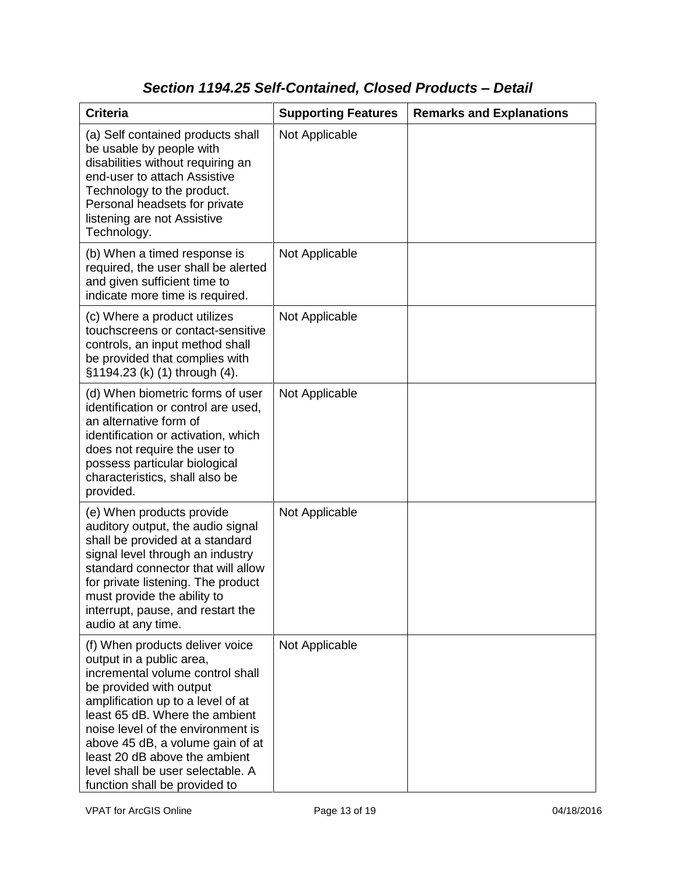# *Section 1194.25 Self-Contained, Closed Products – Detail*

| <b>Criteria</b>                                                                                                                                                                                                                                                                                                                                                                   | <b>Supporting Features</b> | <b>Remarks and Explanations</b> |
|-----------------------------------------------------------------------------------------------------------------------------------------------------------------------------------------------------------------------------------------------------------------------------------------------------------------------------------------------------------------------------------|----------------------------|---------------------------------|
| (a) Self contained products shall<br>be usable by people with<br>disabilities without requiring an<br>end-user to attach Assistive<br>Technology to the product.<br>Personal headsets for private<br>listening are not Assistive<br>Technology.                                                                                                                                   | Not Applicable             |                                 |
| (b) When a timed response is<br>required, the user shall be alerted<br>and given sufficient time to<br>indicate more time is required.                                                                                                                                                                                                                                            | Not Applicable             |                                 |
| (c) Where a product utilizes<br>touchscreens or contact-sensitive<br>controls, an input method shall<br>be provided that complies with<br>§1194.23 (k) (1) through (4).                                                                                                                                                                                                           | Not Applicable             |                                 |
| (d) When biometric forms of user<br>identification or control are used,<br>an alternative form of<br>identification or activation, which<br>does not require the user to<br>possess particular biological<br>characteristics, shall also be<br>provided.                                                                                                                          | Not Applicable             |                                 |
| (e) When products provide<br>auditory output, the audio signal<br>shall be provided at a standard<br>signal level through an industry<br>standard connector that will allow<br>for private listening. The product<br>must provide the ability to<br>interrupt, pause, and restart the<br>audio at any time.                                                                       | Not Applicable             |                                 |
| (f) When products deliver voice<br>output in a public area,<br>incremental volume control shall<br>be provided with output<br>amplification up to a level of at<br>least 65 dB. Where the ambient<br>noise level of the environment is<br>above 45 dB, a volume gain of at<br>least 20 dB above the ambient<br>level shall be user selectable. A<br>function shall be provided to | Not Applicable             |                                 |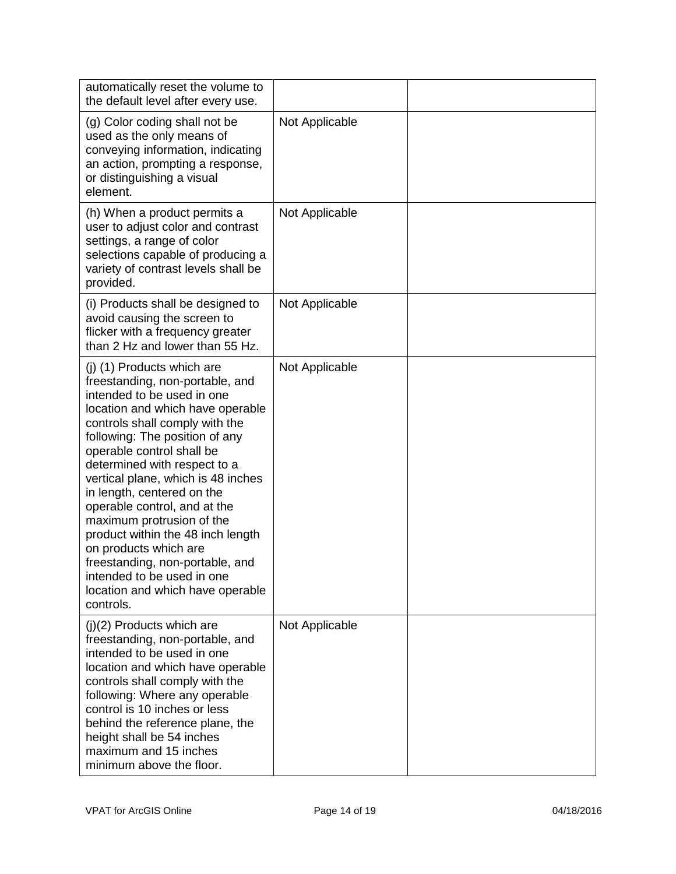| automatically reset the volume to<br>the default level after every use.                                                                                                                                                                                                                                                                                                                                                                                                                                                                                                           |                |  |
|-----------------------------------------------------------------------------------------------------------------------------------------------------------------------------------------------------------------------------------------------------------------------------------------------------------------------------------------------------------------------------------------------------------------------------------------------------------------------------------------------------------------------------------------------------------------------------------|----------------|--|
| (g) Color coding shall not be<br>used as the only means of<br>conveying information, indicating<br>an action, prompting a response,<br>or distinguishing a visual<br>element.                                                                                                                                                                                                                                                                                                                                                                                                     | Not Applicable |  |
| (h) When a product permits a<br>user to adjust color and contrast<br>settings, a range of color<br>selections capable of producing a<br>variety of contrast levels shall be<br>provided.                                                                                                                                                                                                                                                                                                                                                                                          | Not Applicable |  |
| (i) Products shall be designed to<br>avoid causing the screen to<br>flicker with a frequency greater<br>than 2 Hz and lower than 55 Hz.                                                                                                                                                                                                                                                                                                                                                                                                                                           | Not Applicable |  |
| (j) (1) Products which are<br>freestanding, non-portable, and<br>intended to be used in one<br>location and which have operable<br>controls shall comply with the<br>following: The position of any<br>operable control shall be<br>determined with respect to a<br>vertical plane, which is 48 inches<br>in length, centered on the<br>operable control, and at the<br>maximum protrusion of the<br>product within the 48 inch length<br>on products which are<br>freestanding, non-portable, and<br>intended to be used in one<br>location and which have operable<br>controls. | Not Applicable |  |
| $(j)(2)$ Products which are<br>freestanding, non-portable, and<br>intended to be used in one<br>location and which have operable<br>controls shall comply with the<br>following: Where any operable<br>control is 10 inches or less<br>behind the reference plane, the<br>height shall be 54 inches<br>maximum and 15 inches<br>minimum above the floor.                                                                                                                                                                                                                          | Not Applicable |  |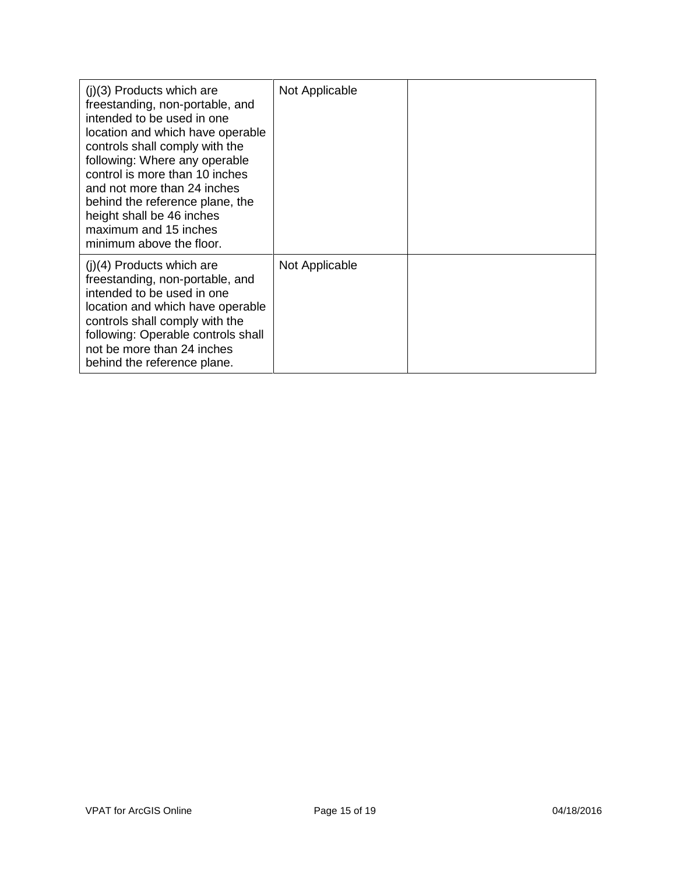| $(i)(3)$ Products which are<br>freestanding, non-portable, and<br>intended to be used in one<br>location and which have operable<br>controls shall comply with the<br>following: Where any operable<br>control is more than 10 inches<br>and not more than 24 inches<br>behind the reference plane, the<br>height shall be 46 inches<br>maximum and 15 inches<br>minimum above the floor. | Not Applicable |  |
|-------------------------------------------------------------------------------------------------------------------------------------------------------------------------------------------------------------------------------------------------------------------------------------------------------------------------------------------------------------------------------------------|----------------|--|
| $(i)(4)$ Products which are<br>freestanding, non-portable, and<br>intended to be used in one<br>location and which have operable<br>controls shall comply with the<br>following: Operable controls shall<br>not be more than 24 inches<br>behind the reference plane.                                                                                                                     | Not Applicable |  |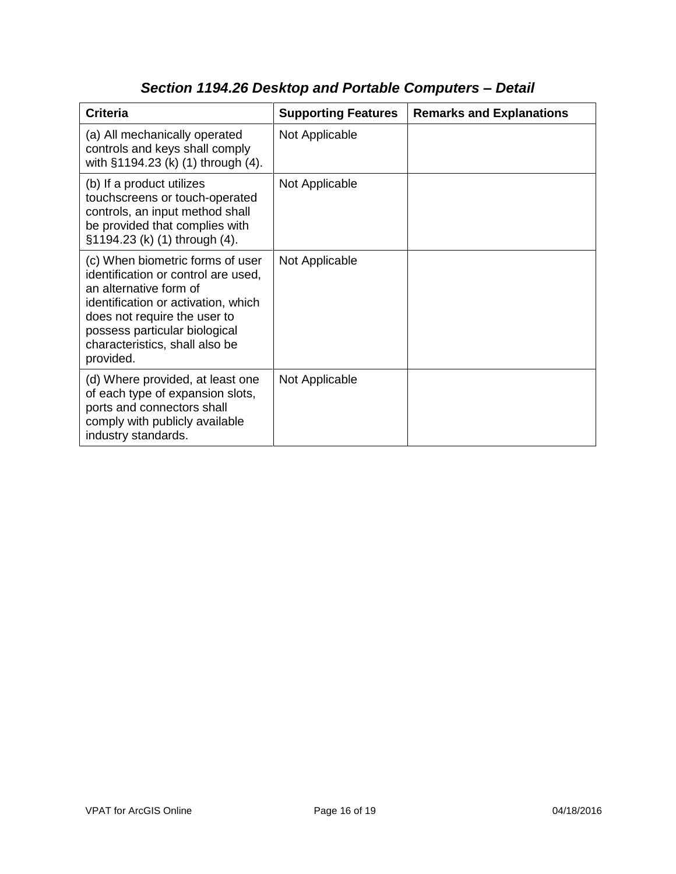| <b>Criteria</b>                                                                                                                                                                                                                                          | <b>Supporting Features</b> | <b>Remarks and Explanations</b> |
|----------------------------------------------------------------------------------------------------------------------------------------------------------------------------------------------------------------------------------------------------------|----------------------------|---------------------------------|
| (a) All mechanically operated<br>controls and keys shall comply<br>with §1194.23 (k) (1) through (4).                                                                                                                                                    | Not Applicable             |                                 |
| (b) If a product utilizes<br>touchscreens or touch-operated<br>controls, an input method shall<br>be provided that complies with<br>§1194.23 (k) (1) through (4).                                                                                        | Not Applicable             |                                 |
| (c) When biometric forms of user<br>identification or control are used,<br>an alternative form of<br>identification or activation, which<br>does not require the user to<br>possess particular biological<br>characteristics, shall also be<br>provided. | Not Applicable             |                                 |
| (d) Where provided, at least one<br>of each type of expansion slots,<br>ports and connectors shall<br>comply with publicly available<br>industry standards.                                                                                              | Not Applicable             |                                 |

## *Section 1194.26 Desktop and Portable Computers – Detail*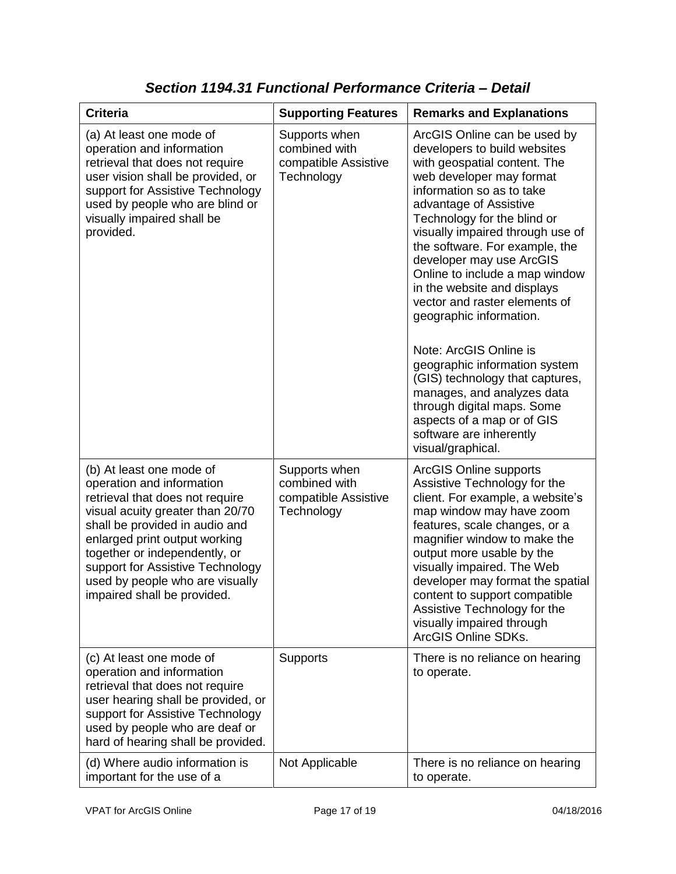| <b>Criteria</b>                                                                                                                                                                                                                                                                                                                        | <b>Supporting Features</b>                                           | <b>Remarks and Explanations</b>                                                                                                                                                                                                                                                                                                                                                                                                                                                                                                                                                                                                                                                       |
|----------------------------------------------------------------------------------------------------------------------------------------------------------------------------------------------------------------------------------------------------------------------------------------------------------------------------------------|----------------------------------------------------------------------|---------------------------------------------------------------------------------------------------------------------------------------------------------------------------------------------------------------------------------------------------------------------------------------------------------------------------------------------------------------------------------------------------------------------------------------------------------------------------------------------------------------------------------------------------------------------------------------------------------------------------------------------------------------------------------------|
| (a) At least one mode of<br>operation and information<br>retrieval that does not require<br>user vision shall be provided, or<br>support for Assistive Technology<br>used by people who are blind or<br>visually impaired shall be<br>provided.                                                                                        | Supports when<br>combined with<br>compatible Assistive<br>Technology | ArcGIS Online can be used by<br>developers to build websites<br>with geospatial content. The<br>web developer may format<br>information so as to take<br>advantage of Assistive<br>Technology for the blind or<br>visually impaired through use of<br>the software. For example, the<br>developer may use ArcGIS<br>Online to include a map window<br>in the website and displays<br>vector and raster elements of<br>geographic information.<br>Note: ArcGIS Online is<br>geographic information system<br>(GIS) technology that captures,<br>manages, and analyzes data<br>through digital maps. Some<br>aspects of a map or of GIS<br>software are inherently<br>visual/graphical. |
| (b) At least one mode of<br>operation and information<br>retrieval that does not require<br>visual acuity greater than 20/70<br>shall be provided in audio and<br>enlarged print output working<br>together or independently, or<br>support for Assistive Technology<br>used by people who are visually<br>impaired shall be provided. | Supports when<br>combined with<br>compatible Assistive<br>Technology | <b>ArcGIS Online supports</b><br>Assistive Technology for the<br>client. For example, a website's<br>map window may have zoom<br>features, scale changes, or a<br>magnifier window to make the<br>output more usable by the<br>visually impaired. The Web<br>developer may format the spatial<br>content to support compatible<br>Assistive Technology for the<br>visually impaired through<br>ArcGIS Online SDKs.                                                                                                                                                                                                                                                                    |
| (c) At least one mode of<br>operation and information<br>retrieval that does not require<br>user hearing shall be provided, or<br>support for Assistive Technology<br>used by people who are deaf or<br>hard of hearing shall be provided.                                                                                             | <b>Supports</b>                                                      | There is no reliance on hearing<br>to operate.                                                                                                                                                                                                                                                                                                                                                                                                                                                                                                                                                                                                                                        |
| (d) Where audio information is<br>important for the use of a                                                                                                                                                                                                                                                                           | Not Applicable                                                       | There is no reliance on hearing<br>to operate.                                                                                                                                                                                                                                                                                                                                                                                                                                                                                                                                                                                                                                        |

*Section 1194.31 Functional Performance Criteria – Detail*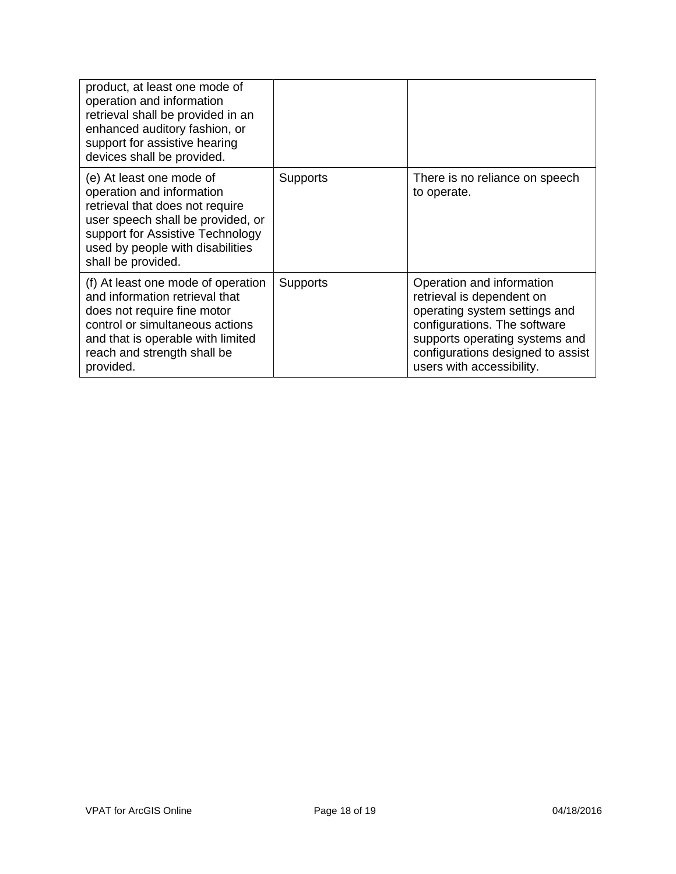| product, at least one mode of<br>operation and information<br>retrieval shall be provided in an<br>enhanced auditory fashion, or<br>support for assistive hearing<br>devices shall be provided.                             |                 |                                                                                                                                                                                                                             |
|-----------------------------------------------------------------------------------------------------------------------------------------------------------------------------------------------------------------------------|-----------------|-----------------------------------------------------------------------------------------------------------------------------------------------------------------------------------------------------------------------------|
| (e) At least one mode of<br>operation and information<br>retrieval that does not require<br>user speech shall be provided, or<br>support for Assistive Technology<br>used by people with disabilities<br>shall be provided. | <b>Supports</b> | There is no reliance on speech<br>to operate.                                                                                                                                                                               |
| (f) At least one mode of operation<br>and information retrieval that<br>does not require fine motor<br>control or simultaneous actions<br>and that is operable with limited<br>reach and strength shall be<br>provided.     | <b>Supports</b> | Operation and information<br>retrieval is dependent on<br>operating system settings and<br>configurations. The software<br>supports operating systems and<br>configurations designed to assist<br>users with accessibility. |